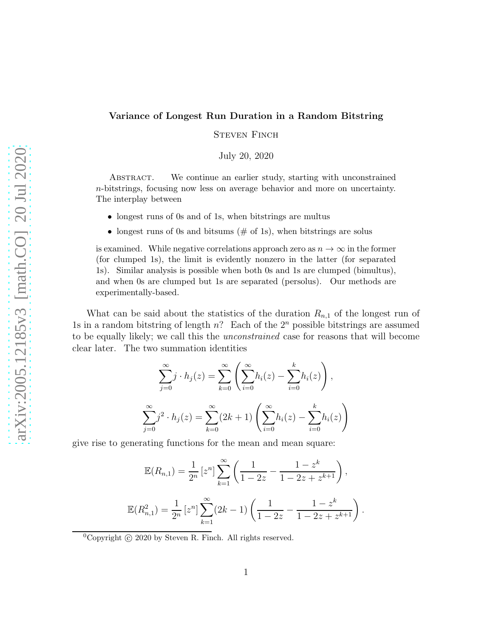## Variance of Longest Run Duration in a Random Bitstring

STEVEN FINCH

July 20, 2020

Abstract. We continue an earlier study, starting with unconstrained n-bitstrings, focusing now less on average behavior and more on uncertainty. The interplay between

- longest runs of 0s and of 1s, when bitstrings are multus
- longest runs of 0s and bitsums  $(\# \text{ of } 1s)$ , when bitstrings are solus

is examined. While negative correlations approach zero as  $n \to \infty$  in the former (for clumped 1s), the limit is evidently nonzero in the latter (for separated 1s). Similar analysis is possible when both 0s and 1s are clumped (bimultus), and when 0s are clumped but 1s are separated (persolus). Our methods are experimentally-based.

What can be said about the statistics of the duration  $R_{n,1}$  of the longest run of 1s in a random bitstring of length  $n$ ? Each of the  $2<sup>n</sup>$  possible bitstrings are assumed to be equally likely; we call this the *unconstrained* case for reasons that will become clear later. The two summation identities

$$
\sum_{j=0}^{\infty} j \cdot h_j(z) = \sum_{k=0}^{\infty} \left( \sum_{i=0}^{\infty} h_i(z) - \sum_{i=0}^{k} h_i(z) \right),
$$
  

$$
\sum_{j=0}^{\infty} j^2 \cdot h_j(z) = \sum_{k=0}^{\infty} (2k+1) \left( \sum_{i=0}^{\infty} h_i(z) - \sum_{i=0}^{k} h_i(z) \right)
$$

give rise to generating functions for the mean and mean square:

$$
\mathbb{E}(R_{n,1}) = \frac{1}{2^n} \left[z^n\right] \sum_{k=1}^{\infty} \left(\frac{1}{1-2z} - \frac{1-z^k}{1-2z+z^{k+1}}\right),
$$
  

$$
\mathbb{E}(R_{n,1}^2) = \frac{1}{2^n} \left[z^n\right] \sum_{k=1}^{\infty} (2k-1) \left(\frac{1}{1-2z} - \frac{1-z^k}{1-2z+z^{k+1}}\right).
$$

<sup>0</sup>Copyright  $\odot$  2020 by Steven R. Finch. All rights reserved.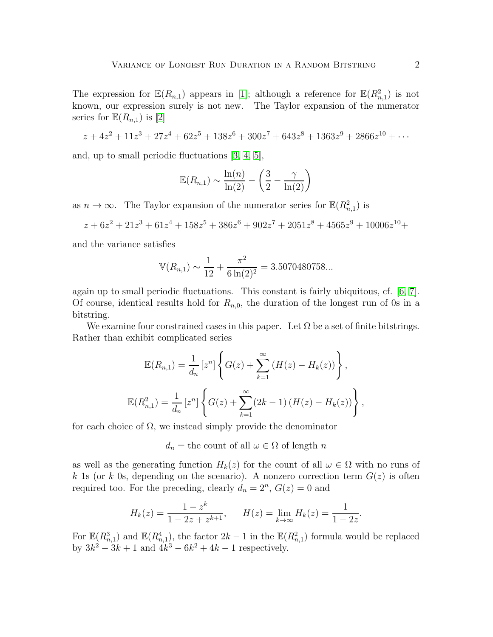The expression for  $\mathbb{E}(R_{n,1})$  appears in [\[1\]](#page-14-0); although a reference for  $\mathbb{E}(R_{n,1}^2)$  is not known, our expression surely is not new. The Taylor expansion of the numerator series for  $\mathbb{E}(R_{n,1})$  is [\[2\]](#page-14-1)

$$
z + 4z2 + 11z3 + 27z4 + 62z5 + 138z6 + 300z7 + 643z8 + 1363z9 + 2866z10 + \cdots
$$

and, up to small periodic fluctuations [\[3,](#page-14-2) [4,](#page-14-3) [5\]](#page-14-4),

$$
\mathbb{E}(R_{n,1}) \sim \frac{\ln(n)}{\ln(2)} - \left(\frac{3}{2} - \frac{\gamma}{\ln(2)}\right)
$$

as  $n \to \infty$ . The Taylor expansion of the numerator series for  $\mathbb{E}(R_{n,1}^2)$  is

$$
z + 6z2 + 21z3 + 61z4 + 158z5 + 386z6 + 902z7 + 2051z8 + 4565z9 + 10006z10 +
$$

and the variance satisfies

$$
\mathbb{V}(R_{n,1}) \sim \frac{1}{12} + \frac{\pi^2}{6 \ln(2)^2} = 3.5070480758...
$$

again up to small periodic fluctuations. This constant is fairly ubiquitous, cf. [\[6,](#page-14-5) [7\]](#page-14-6). Of course, identical results hold for  $R_{n,0}$ , the duration of the longest run of 0s in a bitstring.

We examine four constrained cases in this paper. Let  $\Omega$  be a set of finite bitstrings. Rather than exhibit complicated series

$$
\mathbb{E}(R_{n,1}) = \frac{1}{d_n} [z^n] \left\{ G(z) + \sum_{k=1}^{\infty} (H(z) - H_k(z)) \right\},\
$$
  

$$
\mathbb{E}(R_{n,1}^2) = \frac{1}{d_n} [z^n] \left\{ G(z) + \sum_{k=1}^{\infty} (2k-1) (H(z) - H_k(z)) \right\},\
$$

for each choice of  $\Omega$ , we instead simply provide the denominator

 $d_n$  = the count of all  $\omega \in \Omega$  of length n

as well as the generating function  $H_k(z)$  for the count of all  $\omega \in \Omega$  with no runs of k 1s (or k 0s, depending on the scenario). A nonzero correction term  $G(z)$  is often required too. For the preceding, clearly  $d_n = 2^n$ ,  $G(z) = 0$  and

$$
H_k(z) = \frac{1 - z^k}{1 - 2z + z^{k+1}}, \qquad H(z) = \lim_{k \to \infty} H_k(z) = \frac{1}{1 - 2z}.
$$

For  $\mathbb{E}(R_{n,1}^3)$  and  $\mathbb{E}(R_{n,1}^4)$ , the factor  $2k-1$  in the  $\mathbb{E}(R_{n,1}^2)$  formula would be replaced by  $3k^2 - 3k + 1$  and  $4k^3 - 6k^2 + 4k - 1$  respectively.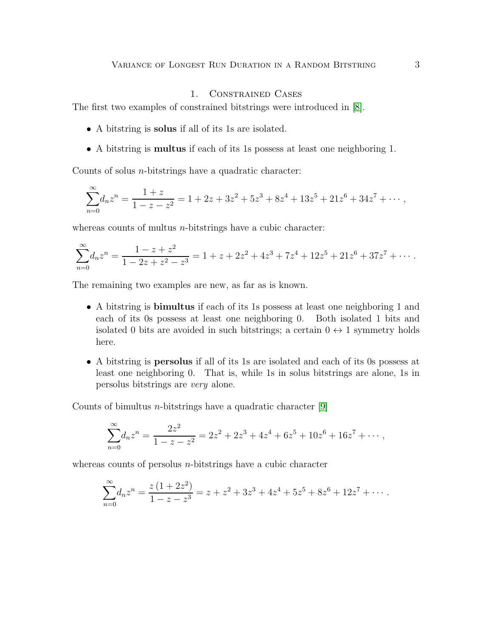# 1. Constrained Cases

The first two examples of constrained bitstrings were introduced in [\[8\]](#page-14-7).

- A bitstring is solus if all of its 1s are isolated.
- A bitstring is multus if each of its 1s possess at least one neighboring 1.

Counts of solus  $n$ -bitstrings have a quadratic character:

$$
\sum_{n=0}^{\infty} d_n z^n = \frac{1+z}{1-z-z^2} = 1 + 2z + 3z^2 + 5z^3 + 8z^4 + 13z^5 + 21z^6 + 34z^7 + \cdots,
$$

whereas counts of multus  $n$ -bitstrings have a cubic character:

$$
\sum_{n=0}^{\infty} d_n z^n = \frac{1-z+z^2}{1-2z+z^2-z^3} = 1 + z + 2z^2 + 4z^3 + 7z^4 + 12z^5 + 21z^6 + 37z^7 + \cdots
$$

The remaining two examples are new, as far as is known.

- A bitstring is bimultus if each of its 1s possess at least one neighboring 1 and each of its 0s possess at least one neighboring 0. Both isolated 1 bits and isolated 0 bits are avoided in such bitstrings; a certain  $0 \leftrightarrow 1$  symmetry holds here.
- A bitstring is persolus if all of its 1s are isolated and each of its 0s possess at least one neighboring 0. That is, while 1s in solus bitstrings are alone, 1s in persolus bitstrings are very alone.

Counts of bimultus *n*-bitstrings have a quadratic character  $[9]$ 

$$
\sum_{n=0}^{\infty} d_n z^n = \frac{2z^2}{1-z-z^2} = 2z^2 + 2z^3 + 4z^4 + 6z^5 + 10z^6 + 16z^7 + \cdots,
$$

whereas counts of persolus  $n$ -bitstrings have a cubic character

$$
\sum_{n=0}^{\infty} d_n z^n = \frac{z(1+2z^2)}{1-z-z^3} = z + z^2 + 3z^3 + 4z^4 + 5z^5 + 8z^6 + 12z^7 + \cdots
$$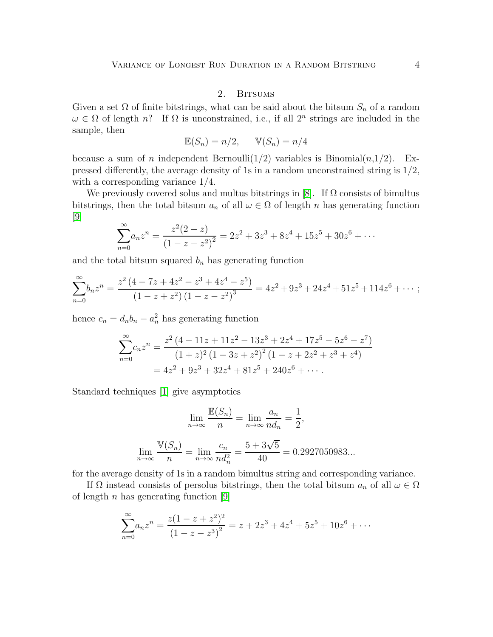## 2. BITSUMS

Given a set  $\Omega$  of finite bitstrings, what can be said about the bitsum  $S_n$  of a random  $\omega \in \Omega$  of length n? If  $\Omega$  is unconstrained, i.e., if all  $2^n$  strings are included in the sample, then

$$
\mathbb{E}(S_n) = n/2, \qquad \mathbb{V}(S_n) = n/4
$$

because a sum of *n* independent Bernoulli(1/2) variables is Binomial $(n,1/2)$ . Expressed differently, the average density of 1s in a random unconstrained string is  $1/2$ , with a corresponding variance 1/4.

We previously covered solus and multus bitstrings in [\[8\]](#page-14-7). If  $\Omega$  consists of bimultus bitstrings, then the total bitsum  $a_n$  of all  $\omega \in \Omega$  of length n has generating function [\[9\]](#page-14-8)

$$
\sum_{n=0}^{\infty} a_n z^n = \frac{z^2 (2 - z)}{(1 - z - z^2)^2} = 2z^2 + 3z^3 + 8z^4 + 15z^5 + 30z^6 + \cdots
$$

and the total bitsum squared  $b_n$  has generating function

$$
\sum_{n=0}^{\infty} b_n z^n = \frac{z^2 (4 - 7z + 4z^2 - z^3 + 4z^4 - z^5)}{(1 - z + z^2)(1 - z - z^2)^3} = 4z^2 + 9z^3 + 24z^4 + 51z^5 + 114z^6 + \cdots;
$$

hence  $c_n = d_n b_n - a_n^2$  has generating function

$$
\sum_{n=0}^{\infty} c_n z^n = \frac{z^2 (4 - 11z + 11z^2 - 13z^3 + 2z^4 + 17z^5 - 5z^6 - z^7)}{(1 + z)^2 (1 - 3z + z^2)^2 (1 - z + 2z^2 + z^3 + z^4)}
$$
  
=  $4z^2 + 9z^3 + 32z^4 + 81z^5 + 240z^6 + \cdots$ 

Standard techniques [\[1\]](#page-14-0) give asymptotics

$$
\lim_{n \to \infty} \frac{\mathbb{E}(S_n)}{n} = \lim_{n \to \infty} \frac{a_n}{nd_n} = \frac{1}{2},
$$
  

$$
\lim_{n \to \infty} \frac{\mathbb{V}(S_n)}{n} = \lim_{n \to \infty} \frac{c_n}{nd_n^2} = \frac{5 + 3\sqrt{5}}{40} = 0.2927050983...
$$

for the average density of 1s in a random bimultus string and corresponding variance.

If  $\Omega$  instead consists of persolus bitstrings, then the total bitsum  $a_n$  of all  $\omega \in \Omega$ of length  $n$  has generating function [\[9\]](#page-14-8)

$$
\sum_{n=0}^{\infty} a_n z^n = \frac{z(1-z+z^2)^2}{(1-z-z^3)^2} = z + 2z^3 + 4z^4 + 5z^5 + 10z^6 + \cdots
$$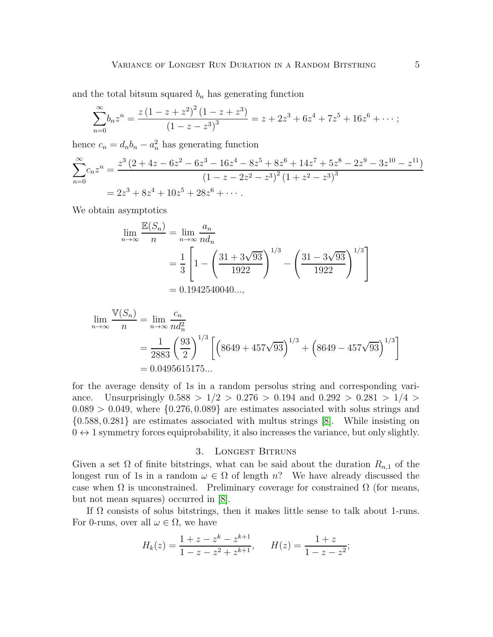and the total bitsum squared  $b_n$  has generating function

$$
\sum_{n=0}^{\infty} b_n z^n = \frac{z(1-z+z^2)^2 (1-z+z^3)}{(1-z-z^3)^3} = z + 2z^3 + 6z^4 + 7z^5 + 16z^6 + \cdots;
$$

hence  $c_n = d_n b_n - a_n^2$  has generating function

 $E(z)$ 

$$
\sum_{n=0}^{\infty} c_n z^n = \frac{z^3 (2 + 4z - 6z^2 - 6z^3 - 16z^4 - 8z^5 + 8z^6 + 14z^7 + 5z^8 - 2z^9 - 3z^{10} - z^{11})}{(1 - z - 2z^2 - z^3)^2 (1 + z^2 - z^3)^3}
$$
  
=  $2z^3 + 8z^4 + 10z^5 + 28z^6 + \cdots$ 

We obtain asymptotics

$$
\lim_{n \to \infty} \frac{\mathbb{E}(S_n)}{n} = \lim_{n \to \infty} \frac{a_n}{n d_n}
$$
  
=  $\frac{1}{3} \left[ 1 - \left( \frac{31 + 3\sqrt{93}}{1922} \right)^{1/3} - \left( \frac{31 - 3\sqrt{93}}{1922} \right)^{1/3} \right]$   
= 0.1942540040...,

$$
\lim_{n \to \infty} \frac{\mathbb{V}(S_n)}{n} = \lim_{n \to \infty} \frac{c_n}{nd_n^2}
$$
  
=  $\frac{1}{2883} \left(\frac{93}{2}\right)^{1/3} \left[ \left(8649 + 457\sqrt{93}\right)^{1/3} + \left(8649 - 457\sqrt{93}\right)^{1/3} \right]$   
= 0.0495615175...

for the average density of 1s in a random persolus string and corresponding variance. Unsurprisingly  $0.588 > 1/2 > 0.276 > 0.194$  and  $0.292 > 0.281 > 1/4 >$  $0.089 > 0.049$ , where  $\{0.276, 0.089\}$  are estimates associated with solus strings and {0.588, 0.281} are estimates associated with multus strings [\[8\]](#page-14-7). While insisting on  $0 \leftrightarrow 1$  symmetry forces equiprobability, it also increases the variance, but only slightly.

#### 3. LONGEST BITRUNS

Given a set  $\Omega$  of finite bitstrings, what can be said about the duration  $R_{n,1}$  of the longest run of 1s in a random  $\omega \in \Omega$  of length n? We have already discussed the case when  $\Omega$  is unconstrained. Preliminary coverage for constrained  $\Omega$  (for means, but not mean squares) occurred in [\[8\]](#page-14-7).

If  $\Omega$  consists of solus bitstrings, then it makes little sense to talk about 1-runs. For 0-runs, over all  $\omega \in \Omega$ , we have

$$
H_k(z) = \frac{1+z-z^k-z^{k+1}}{1-z-z^2+z^{k+1}}, \qquad H(z) = \frac{1+z}{1-z-z^2};
$$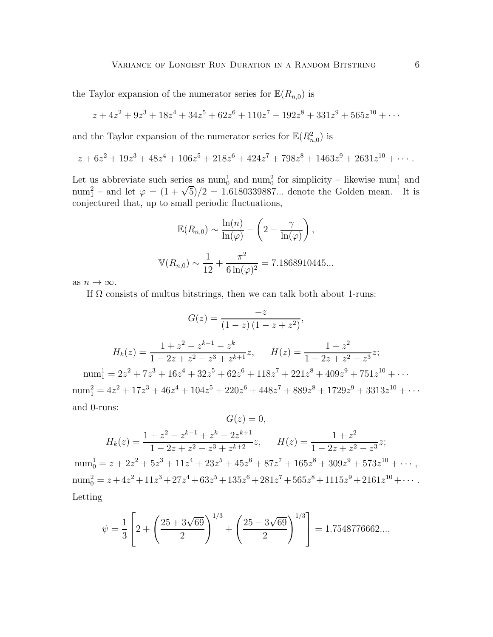the Taylor expansion of the numerator series for  $\mathbb{E}(R_{n,0})$  is

$$
z + 4z2 + 9z3 + 18z4 + 34z5 + 62z6 + 110z7 + 192z8 + 331z9 + 565z10 + \cdots
$$

and the Taylor expansion of the numerator series for  $\mathbb{E}(R^2_{n,0})$  is

$$
z + 6z2 + 19z3 + 48z4 + 106z5 + 218z6 + 424z7 + 798z8 + 1463z9 + 2631z10 + \cdots
$$

Let us abbreviate such series as  $\text{num}_0^1$  and  $\text{num}_0^2$  for simplicity – likewise  $\text{num}_1^1$  and num<sup>2</sup> – and let  $\varphi = (1 + \sqrt{5})/2 = 1.6180339887...$  denote the Golden mean. It is conjectured that, up to small periodic fluctuations,

$$
\mathbb{E}(R_{n,0}) \sim \frac{\ln(n)}{\ln(\varphi)} - \left(2 - \frac{\gamma}{\ln(\varphi)}\right),
$$
  

$$
\mathbb{V}(R_{n,0}) \sim \frac{1}{12} + \frac{\pi^2}{6\ln(\varphi)^2} = 7.1868910445...
$$

as  $n \to \infty$ .

If  $\Omega$  consists of multus bitstrings, then we can talk both about 1-runs:

$$
G(z) = \frac{-z}{(1-z)(1-z+z^2)},
$$
  
\n
$$
H_k(z) = \frac{1+z^2-z^{k-1}-z^k}{1-2z+z^2-z^3+z^{k+1}}z, \qquad H(z) = \frac{1+z^2}{1-2z+z^2-z^3}z;
$$
  
\n
$$
\text{num}_1^1 = 2z^2 + 7z^3 + 16z^4 + 32z^5 + 62z^6 + 118z^7 + 221z^8 + 409z^9 + 751z^{10} + \cdots
$$
  
\n
$$
\text{num}_1^2 = 4z^2 + 17z^3 + 46z^4 + 104z^5 + 220z^6 + 448z^7 + 889z^8 + 1729z^9 + 3313z^{10} + \cdots
$$
  
\nand 0-runs:

$$
G(z) = 0,
$$
  
\n
$$
H_k(z) = \frac{1 + z^2 - z^{k-1} + z^k - 2z^{k+1}}{1 - 2z + z^2 - z^3 + z^{k+2}} z, \qquad H(z) = \frac{1 + z^2}{1 - 2z + z^2 - z^3} z;
$$

num<sub>0</sub><sup>1</sup> = z + 2z<sup>2</sup> + 5z<sup>3</sup> + 11z<sup>4</sup> + 23z<sup>5</sup> + 45z<sup>6</sup> + 87z<sup>7</sup> + 165z<sup>8</sup> + 309z<sup>9</sup> + 573z<sup>10</sup> + ... num<sub>0</sub><sup>2</sup> = z + 4z<sup>2</sup> + 11z<sup>3</sup> + 27z<sup>4</sup> + 63z<sup>5</sup> + 135z<sup>6</sup> + 281z<sup>7</sup> + 565z<sup>8</sup> + 1115z<sup>9</sup> + 2161z<sup>10</sup> + · · · · Letting

$$
\psi = \frac{1}{3} \left[ 2 + \left( \frac{25 + 3\sqrt{69}}{2} \right)^{1/3} + \left( \frac{25 - 3\sqrt{69}}{2} \right)^{1/3} \right] = 1.7548776662...,
$$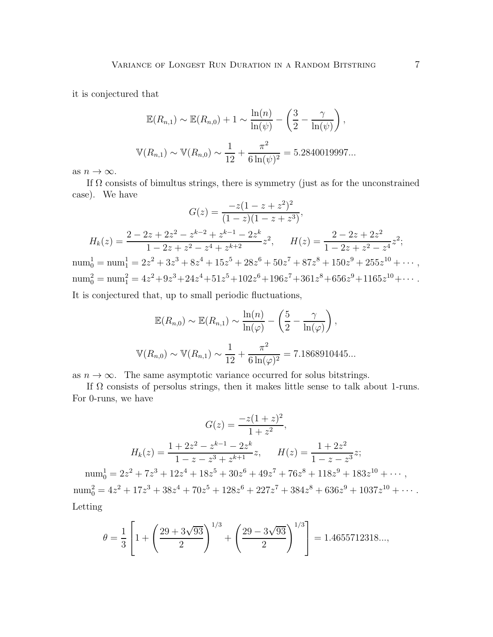it is conjectured that

$$
\mathbb{E}(R_{n,1}) \sim \mathbb{E}(R_{n,0}) + 1 \sim \frac{\ln(n)}{\ln(\psi)} - \left(\frac{3}{2} - \frac{\gamma}{\ln(\psi)}\right),
$$
  

$$
\mathbb{V}(R_{n,1}) \sim \mathbb{V}(R_{n,0}) \sim \frac{1}{12} + \frac{\pi^2}{6\ln(\psi)^2} = 5.2840019997...
$$

as  $n \to \infty$ .

If  $\Omega$  consists of bimultus strings, there is symmetry (just as for the unconstrained case). We have

$$
G(z) = \frac{-z(1-z+z^2)^2}{(1-z)(1-z+z^3)},
$$
  
\n
$$
H_k(z) = \frac{2-2z+2z^2-z^{k-2}+z^{k-1}-2z^k}{1-2z+z^2-z^4+z^{k+2}}z^2, \quad H(z) = \frac{2-2z+2z^2}{1-2z+z^2-z^4}z^2;
$$
  
\n
$$
num_0^1 = num_1^1 = 2z^2+3z^3+8z^4+15z^5+28z^6+50z^7+87z^8+150z^9+255z^{10}+\cdots,
$$
  
\n
$$
num_0^2 = num_1^2 = 4z^2+9z^3+24z^4+51z^5+102z^6+196z^7+361z^8+656z^9+1165z^{10}+\cdots.
$$
  
\nIt is conjectured that, we be small periodic fluctuations.

It is conjectured that, up to small periodic fluctuations,

$$
\mathbb{E}(R_{n,0}) \sim \mathbb{E}(R_{n,1}) \sim \frac{\ln(n)}{\ln(\varphi)} - \left(\frac{5}{2} - \frac{\gamma}{\ln(\varphi)}\right),
$$
  

$$
\mathbb{V}(R_{n,0}) \sim \mathbb{V}(R_{n,1}) \sim \frac{1}{12} + \frac{\pi^2}{6\ln(\varphi)^2} = 7.1868910445...
$$

as  $n \to \infty$ . The same asymptotic variance occurred for solus bitstrings.

If  $\Omega$  consists of persolus strings, then it makes little sense to talk about 1-runs. For 0-runs, we have

$$
G(z) = \frac{-z(1+z)^2}{1+z^2},
$$
  
\n
$$
H_k(z) = \frac{1+2z^2-z^{k-1}-2z^k}{1-z-z^3+z^{k+1}}z, \qquad H(z) = \frac{1+2z^2}{1-z-z^3}z;
$$
  
\n
$$
\text{num}_0^1 = 2z^2 + 7z^3 + 12z^4 + 18z^5 + 30z^6 + 49z^7 + 76z^8 + 118z^9 + 183z^{10} + \cdots,
$$
  
\n
$$
\text{num}_0^2 = 4z^2 + 17z^3 + 38z^4 + 70z^5 + 128z^6 + 227z^7 + 384z^8 + 636z^9 + 1037z^{10} + \cdots.
$$

Letting

$$
\theta = \frac{1}{3} \left[ 1 + \left( \frac{29 + 3\sqrt{93}}{2} \right)^{1/3} + \left( \frac{29 - 3\sqrt{93}}{2} \right)^{1/3} \right] = 1.4655712318...,
$$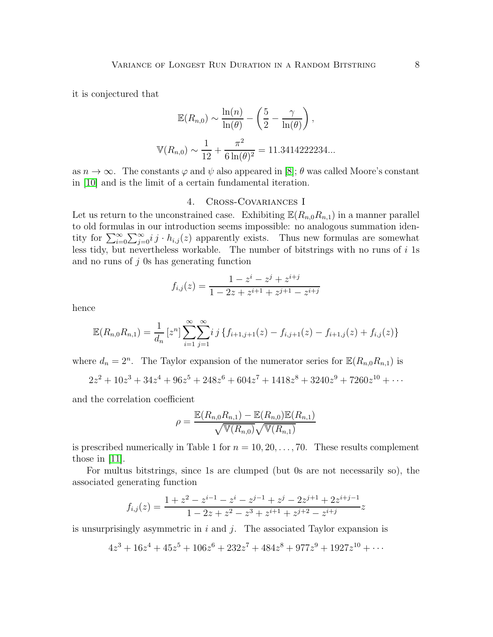it is conjectured that

$$
\mathbb{E}(R_{n,0}) \sim \frac{\ln(n)}{\ln(\theta)} - \left(\frac{5}{2} - \frac{\gamma}{\ln(\theta)}\right),
$$
  

$$
\mathbb{V}(R_{n,0}) \sim \frac{1}{12} + \frac{\pi^2}{6\ln(\theta)^2} = 11.3414222234...
$$

as  $n \to \infty$ . The constants  $\varphi$  and  $\psi$  also appeared in [\[8\]](#page-14-7);  $\theta$  was called Moore's constant in [\[10\]](#page-14-9) and is the limit of a certain fundamental iteration.

#### 4. Cross-Covariances I

Let us return to the unconstrained case. Exhibiting  $\mathbb{E}(R_{n,0}R_{n,1})$  in a manner parallel to old formulas in our introduction seems impossible: no analogous summation identity for  $\sum_{i=0}^{\infty}\sum_{j=0}^{\infty}ij \cdot h_{i,j}(z)$  apparently exists. Thus new formulas are somewhat less tidy, but nevertheless workable. The number of bitstrings with no runs of  $i$  1s and no runs of  $j$  0s has generating function

$$
f_{i,j}(z) = \frac{1 - z^{i} - z^{j} + z^{i+j}}{1 - 2z + z^{i+1} + z^{j+1} - z^{i+j}}
$$

hence

$$
\mathbb{E}(R_{n,0}R_{n,1}) = \frac{1}{d_n} [z^n] \sum_{i=1}^{\infty} \sum_{j=1}^{\infty} i j \{ f_{i+1,j+1}(z) - f_{i,j+1}(z) - f_{i+1,j}(z) + f_{i,j}(z) \}
$$

where  $d_n = 2^n$ . The Taylor expansion of the numerator series for  $\mathbb{E}(R_{n,0}R_{n,1})$  is

$$
2z^2 + 10z^3 + 34z^4 + 96z^5 + 248z^6 + 604z^7 + 1418z^8 + 3240z^9 + 7260z^{10} + \cdots
$$

and the correlation coefficient

$$
\rho = \frac{\mathbb{E}(R_{n,0}R_{n,1}) - \mathbb{E}(R_{n,0})\mathbb{E}(R_{n,1})}{\sqrt{\mathbb{V}(R_{n,0})}\sqrt{\mathbb{V}(R_{n,1})}}
$$

is prescribed numerically in Table 1 for  $n = 10, 20, \ldots, 70$ . These results complement those in [\[11\]](#page-14-10).

For multus bitstrings, since 1s are clumped (but 0s are not necessarily so), the associated generating function

$$
f_{i,j}(z) = \frac{1 + z^2 - z^{i-1} - z^i - z^{j-1} + z^j - 2z^{j+1} + 2z^{i+j-1}}{1 - 2z + z^2 - z^3 + z^{i+1} + z^{j+2} - z^{i+j}}z
$$

is unsurprisingly asymmetric in i and j. The associated Taylor expansion is

$$
4z^3 + 16z^4 + 45z^5 + 106z^6 + 232z^7 + 484z^8 + 977z^9 + 1927z^{10} + \cdots
$$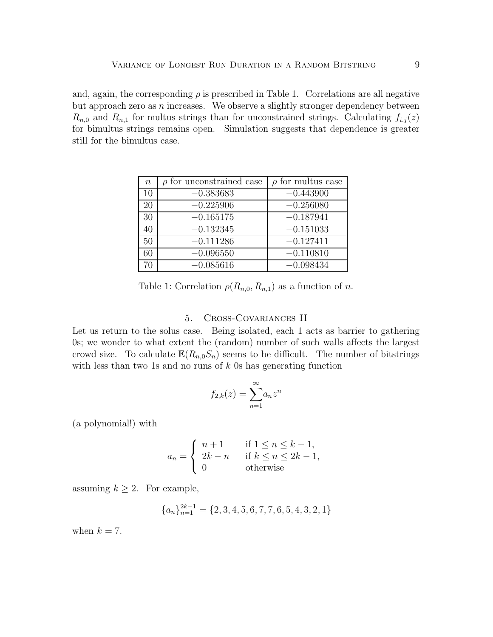and, again, the corresponding  $\rho$  is prescribed in Table 1. Correlations are all negative but approach zero as  $n$  increases. We observe a slightly stronger dependency between  $R_{n,0}$  and  $R_{n,1}$  for multus strings than for unconstrained strings. Calculating  $f_{i,j}(z)$ for bimultus strings remains open. Simulation suggests that dependence is greater still for the bimultus case.

| $\boldsymbol{n}$ | for unconstrained case | $\rho$ for multus case |
|------------------|------------------------|------------------------|
| 10               | $-0.383683$            | $-0.443900$            |
| 20               | $-0.225906$            | $-0.256080$            |
| 30               | $-0.165175$            | $-0.187941$            |
| 40               | $-0.132345$            | $-0.151033$            |
| 50               | $-0.111286$            | $-0.127411$            |
| 60               | $-0.096550$            | $-0.110810$            |
| 70               | $-0.085616$            | $-0.098434$            |

Table 1: Correlation  $\rho(R_{n,0}, R_{n,1})$  as a function of n.

## 5. Cross-Covariances II

Let us return to the solus case. Being isolated, each 1 acts as barrier to gathering 0s; we wonder to what extent the (random) number of such walls affects the largest crowd size. To calculate  $\mathbb{E}(R_{n,0}S_n)$  seems to be difficult. The number of bitstrings with less than two 1s and no runs of  $k$  0s has generating function

$$
f_{2,k}(z) = \sum_{n=1}^{\infty} a_n z^n
$$

(a polynomial!) with

$$
a_n = \begin{cases} n+1 & \text{if } 1 \le n \le k-1, \\ 2k-n & \text{if } k \le n \le 2k-1, \\ 0 & \text{otherwise} \end{cases}
$$

assuming  $k \geq 2$ . For example,

$$
{a_n}_{n=1}^{2k-1} = {2, 3, 4, 5, 6, 7, 7, 6, 5, 4, 3, 2, 1}
$$

when  $k = 7$ .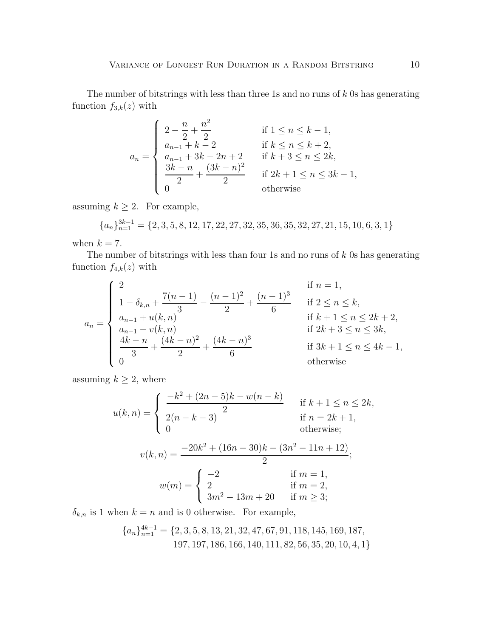The number of bitstrings with less than three 1s and no runs of  $k$  0s has generating function  $f_{3,k}(z)$  with

$$
a_n = \begin{cases} 2 - \frac{n}{2} + \frac{n^2}{2} & \text{if } 1 \le n \le k - 1, \\ a_{n-1} + k - 2 & \text{if } k \le n \le k + 2, \\ a_{n-1} + 3k - 2n + 2 & \text{if } k + 3 \le n \le 2k, \\ \frac{3k - n}{2} + \frac{(3k - n)^2}{2} & \text{if } 2k + 1 \le n \le 3k - 1, \\ 0 & \text{otherwise} \end{cases}
$$

assuming  $k \geq 2$ . For example,

 ${a_n}_{n=1}^{3k-1} = {2, 3, 5, 8, 12, 17, 22, 27, 32, 35, 36, 35, 32, 27, 21, 15, 10, 6, 3, 1}$ 

when  $k = 7$ .

The number of bitstrings with less than four 1s and no runs of  $k$  0s has generating function  $f_{4,k}(z)$  with

$$
a_n = \begin{cases} 2 & \text{if } n = 1, \\ 1 - \delta_{k,n} + \frac{7(n-1)}{3} - \frac{(n-1)^2}{2} + \frac{(n-1)^3}{6} & \text{if } 2 \le n \le k, \\ a_{n-1} + u(k, n) & \text{if } k+1 \le n \le 2k+2, \\ a_{n-1} - v(k, n) & \text{if } 2k+3 \le n \le 3k, \\ \frac{4k-n}{3} + \frac{(4k-n)^2}{2} + \frac{(4k-n)^3}{6} & \text{if } 3k+1 \le n \le 4k-1, \\ 0 & \text{otherwise} \end{cases}
$$

assuming  $k \geq 2$ , where

$$
u(k,n) = \begin{cases} \frac{-k^2 + (2n-5)k - w(n-k)}{2} & \text{if } k+1 \le n \le 2k, \\ \frac{2(n-k-3)}{2} & \text{if } n = 2k+1, \\ 0 & \text{otherwise;} \end{cases}
$$

$$
v(k,n) = \frac{-20k^2 + (16n-30)k - (3n^2 - 11n + 12)}{2};
$$

$$
w(m) = \begin{cases} -2 & \text{if } m = 1, \\ 2 & \text{if } m = 2, \\ 3m^2 - 13m + 20 & \text{if } m \ge 3; \end{cases}
$$

 $\delta_{k,n}$  is 1 when  $k = n$  and is 0 otherwise. For example,

$$
{a_n}_{n=1}^{4k-1} = {2, 3, 5, 8, 13, 21, 32, 47, 67, 91, 118, 145, 169, 187, 197, 197, 186, 166, 140, 111, 82, 56, 35, 20, 10, 4, 1}
$$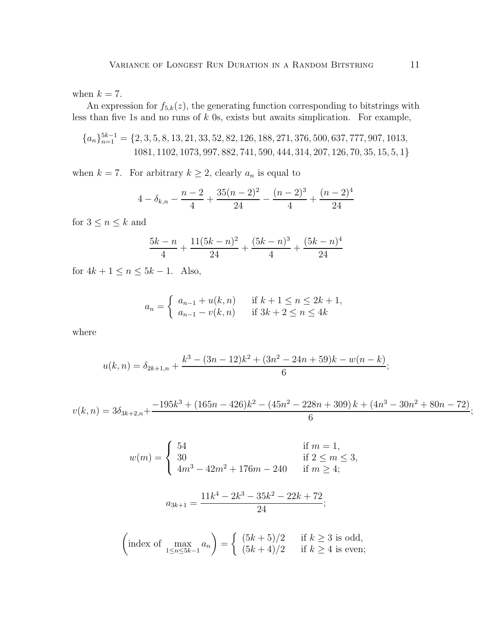when  $k = 7$ .

An expression for  $f_{5,k}(z)$ , the generating function corresponding to bitstrings with less than five 1s and no runs of  $k$  0s, exists but awaits simplication. For example,

$$
{a_n}_{n=1}^{5k-1} = \{2, 3, 5, 8, 13, 21, 33, 52, 82, 126, 188, 271, 376, 500, 637, 777, 907, 1013, 1081, 1102, 1073, 997, 882, 741, 590, 444, 314, 207, 126, 70, 35, 15, 5, 1\}
$$

when  $k = 7$ . For arbitrary  $k \geq 2$ , clearly  $a_n$  is equal to

$$
4 - \delta_{k,n} - \frac{n-2}{4} + \frac{35(n-2)^2}{24} - \frac{(n-2)^3}{4} + \frac{(n-2)^4}{24}
$$

for  $3\leq n\leq k$  and

$$
\frac{5k-n}{4} + \frac{11(5k-n)^2}{24} + \frac{(5k-n)^3}{4} + \frac{(5k-n)^4}{24}
$$

for  $4k + 1 \le n \le 5k - 1$ . Also,

$$
a_n = \begin{cases} a_{n-1} + u(k, n) & \text{if } k+1 \le n \le 2k+1, \\ a_{n-1} - v(k, n) & \text{if } 3k+2 \le n \le 4k \end{cases}
$$

where

$$
u(k,n) = \delta_{2k+1,n} + \frac{k^3 - (3n-12)k^2 + (3n^2 - 24n + 59)k - w(n-k)}{6};
$$

$$
v(k,n) = 3\delta_{3k+2,n} + \frac{-195k^3 + (165n - 426)k^2 - (45n^2 - 228n + 309)k + (4n^3 - 30n^2 + 80n - 72)}{6};
$$

$$
w(m) = \begin{cases} 54 & \text{if } m = 1, \\ 30 & \text{if } 2 \le m \le 3, \\ 4m^3 - 42m^2 + 176m - 240 & \text{if } m \ge 4; \end{cases}
$$

$$
a_{3k+1} = \frac{11k^4 - 2k^3 - 35k^2 - 22k + 72}{24};
$$

$$
\left(\text{index of } \max_{1 \le n \le 5k-1} a_n\right) = \begin{cases} (5k+5)/2 & \text{if } k \ge 3 \text{ is odd,} \\ (5k+4)/2 & \text{if } k \ge 4 \text{ is even;} \end{cases}
$$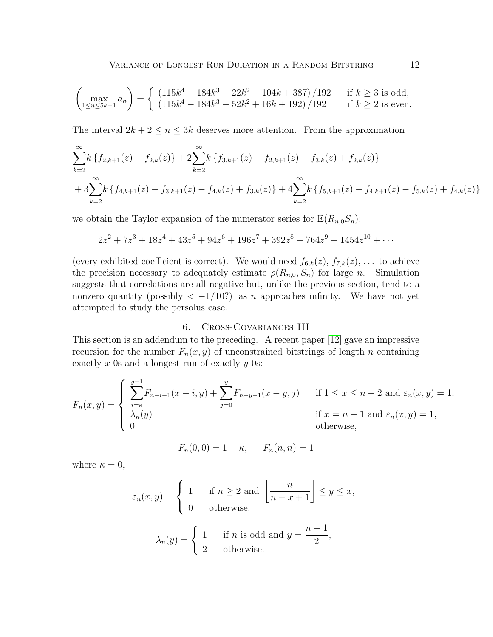$$
\begin{pmatrix}\n\max_{1 \le n \le 5k-1} a_n\n\end{pmatrix} = \begin{cases}\n(115k^4 - 184k^3 - 22k^2 - 104k + 387)/192 & \text{if } k \ge 3 \text{ is odd,} \\
(115k^4 - 184k^3 - 52k^2 + 16k + 192)/192 & \text{if } k \ge 2 \text{ is even.}\n\end{cases}
$$

The interval  $2k + 2 \leq n \leq 3k$  deserves more attention. From the approximation

$$
\sum_{k=2}^{\infty} k \left\{ f_{2,k+1}(z) - f_{2,k}(z) \right\} + 2 \sum_{k=2}^{\infty} k \left\{ f_{3,k+1}(z) - f_{2,k+1}(z) - f_{3,k}(z) + f_{2,k}(z) \right\} + 3 \sum_{k=2}^{\infty} k \left\{ f_{4,k+1}(z) - f_{3,k+1}(z) - f_{4,k}(z) + f_{3,k}(z) \right\} + 4 \sum_{k=2}^{\infty} k \left\{ f_{5,k+1}(z) - f_{4,k+1}(z) - f_{5,k}(z) + f_{4,k}(z) \right\}
$$

we obtain the Taylor expansion of the numerator series for  $\mathbb{E}(R_{n,0}S_n)$ :

$$
2z^2 + 7z^3 + 18z^4 + 43z^5 + 94z^6 + 196z^7 + 392z^8 + 764z^9 + 1454z^{10} + \cdots
$$

(every exhibited coefficient is correct). We would need  $f_{6,k}(z)$ ,  $f_{7,k}(z)$ , ... to achieve the precision necessary to adequately estimate  $\rho(R_{n,0}, S_n)$  for large n. Simulation suggests that correlations are all negative but, unlike the previous section, tend to a nonzero quantity (possibly  $\langle -1/10 \rangle$ ) as n approaches infinity. We have not yet attempted to study the persolus case.

## 6. Cross-Covariances III

This section is an addendum to the preceding. A recent paper [\[12\]](#page-14-11) gave an impressive recursion for the number  $F_n(x, y)$  of unconstrained bitstrings of length n containing exactly x 0s and a longest run of exactly  $y$  0s:

$$
F_n(x,y) = \begin{cases} \sum_{i=\kappa}^{y-1} F_{n-i-1}(x-i,y) + \sum_{j=0}^{y} F_{n-y-1}(x-y,j) & \text{if } 1 \le x \le n-2 \text{ and } \varepsilon_n(x,y) = 1, \\ \lambda_n(y) & \text{if } x = n-1 \text{ and } \varepsilon_n(x,y) = 1, \\ 0 & \text{otherwise,} \end{cases}
$$

$$
F_n(0,0) = 1 - \kappa
$$
,  $F_n(n,n) = 1$ 

where  $\kappa = 0$ ,

$$
\varepsilon_n(x, y) = \begin{cases} 1 & \text{if } n \ge 2 \text{ and } \left\lfloor \frac{n}{n - x + 1} \right\rfloor \le y \le x, \\ 0 & \text{otherwise}; \end{cases}
$$

$$
\lambda_n(y) = \begin{cases} 1 & \text{if } n \text{ is odd and } y = \frac{n - 1}{2}, \\ 2 & \text{otherwise}. \end{cases}
$$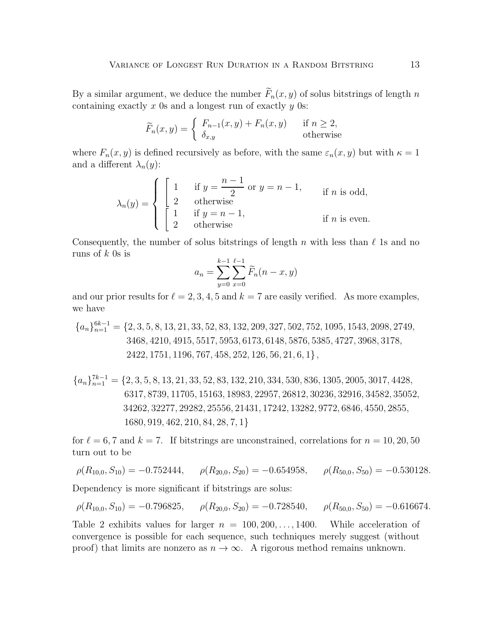By a similar argument, we deduce the number  $\widetilde{F}_n(x, y)$  of solus bitstrings of length n containing exactly  $x$  0s and a longest run of exactly  $y$  0s:

$$
\widetilde{F}_n(x,y) = \begin{cases} F_{n-1}(x,y) + F_n(x,y) & \text{if } n \ge 2, \\ \delta_{x,y} & \text{otherwise} \end{cases}
$$

where  $F_n(x, y)$  is defined recursively as before, with the same  $\varepsilon_n(x, y)$  but with  $\kappa = 1$ and a different  $\lambda_n(y)$ :

$$
\lambda_n(y) = \begin{cases}\n\begin{cases}\n1 & \text{if } y = \frac{n-1}{2} \text{ or } y = n-1, \\
2 & \text{otherwise} \\
1 & \text{if } y = n-1,\n\end{cases} \text{ if } n \text{ is odd,}
$$
\n
$$
\text{if } n \text{ is even.}
$$

Consequently, the number of solus bitstrings of length n with less than  $\ell$  1s and no runs of  $k$  0s is

$$
a_n = \sum_{y=0}^{k-1} \sum_{x=0}^{\ell-1} \widetilde{F}_n(n-x, y)
$$

and our prior results for  $\ell = 2, 3, 4, 5$  and  $k = 7$  are easily verified. As more examples, we have

 ${a_n}_{n=1}^{6k-1}$  = {2, 3, 5, 8, 13, 21, 33, 52, 83, 132, 209, 327, 502, 752, 1095, 1543, 2098, 2749, 3468, 4210, 4915, 5517, 5953, 6173, 6148, 5876, 5385, 4727, 3968, 3178, 2422, 1751, 1196, 767, 458, 252, 126, 56, 21, 6, 1},

$$
{a_n}_{n=1}^{7k-1} = \{2, 3, 5, 8, 13, 21, 33, 52, 83, 132, 210, 334, 530, 836, 1305, 2005, 3017, 4428, 6317, 8739, 11705, 15163, 18983, 22957, 26812, 30236, 32916, 34582, 35052, 34262, 32277, 29282, 25556, 21431, 17242, 13282, 9772, 6846, 4550, 2855, 1680, 919, 462, 210, 84, 28, 7, 1}
$$

for  $\ell = 6, 7$  and  $k = 7$ . If bitstrings are unconstrained, correlations for  $n = 10, 20, 50$ turn out to be

 $\rho(R_{10,0}, S_{10}) = -0.752444, \quad \rho(R_{20,0}, S_{20}) = -0.654958, \quad \rho(R_{50,0}, S_{50}) = -0.530128.$ 

Dependency is more significant if bitstrings are solus:

$$
\rho(R_{10,0}, S_{10}) = -0.796825, \qquad \rho(R_{20,0}, S_{20}) = -0.728540, \qquad \rho(R_{50,0}, S_{50}) = -0.616674.
$$

Table 2 exhibits values for larger  $n = 100, 200, \ldots, 1400$ . While acceleration of convergence is possible for each sequence, such techniques merely suggest (without proof) that limits are nonzero as  $n \to \infty$ . A rigorous method remains unknown.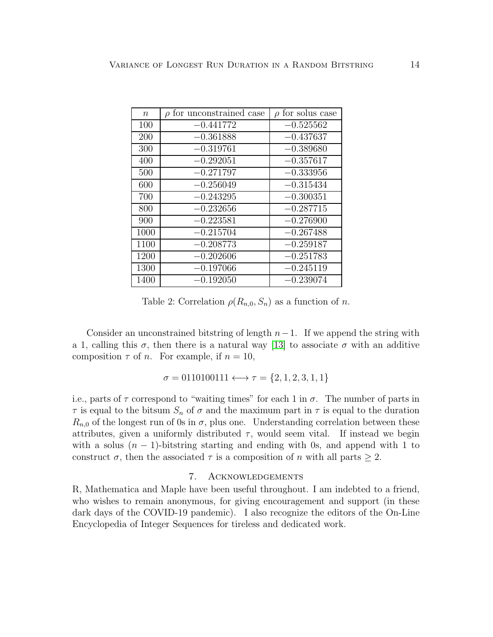| $\boldsymbol{n}$ | $\rho$ for unconstrained case | $\rho$ for solus case |
|------------------|-------------------------------|-----------------------|
| 100              | $-0.441772$                   | $-0.525562$           |
| 200              | $-0.361888$                   | $-0.437637$           |
| 300              | $-0.319761$                   | $-0.389680$           |
| 400              | $-0.292051$                   | $-0.357617$           |
| 500              | $-0.271797$                   | $-0.333956$           |
| 600              | $-0.256049$                   | $-0.315434$           |
| 700              | $-0.243295$                   | $-0.300351$           |
| 800              | $-0.232656$                   | $-0.287715$           |
| 900              | $-0.223581$                   | $-0.276900$           |
| 1000             | $-0.215704$                   | $-0.267488$           |
| 1100             | $-0.208773$                   | $-0.259187$           |
| 1200             | $-0.202606$                   | $-0.251783$           |
| 1300             | $-0.197066$                   | $-0.245119$           |
| 1400             | $-0.192050$                   | $-0.239074$           |

Table 2: Correlation  $\rho(R_{n,0}, S_n)$  as a function of *n*.

Consider an unconstrained bitstring of length  $n-1$ . If we append the string with a 1, calling this  $\sigma$ , then there is a natural way [\[13\]](#page-14-12) to associate  $\sigma$  with an additive composition  $\tau$  of *n*. For example, if  $n = 10$ ,

$$
\sigma = 0110100111 \longleftrightarrow \tau = \{2, 1, 2, 3, 1, 1\}
$$

i.e., parts of  $\tau$  correspond to "waiting times" for each 1 in  $\sigma$ . The number of parts in  $\tau$  is equal to the bitsum  $S_n$  of  $\sigma$  and the maximum part in  $\tau$  is equal to the duration  $R_{n,0}$  of the longest run of 0s in  $\sigma$ , plus one. Understanding correlation between these attributes, given a uniformly distributed  $\tau$ , would seem vital. If instead we begin with a solus  $(n - 1)$ -bitstring starting and ending with 0s, and append with 1 to construct  $\sigma$ , then the associated  $\tau$  is a composition of n with all parts  $\geq 2$ .

### 7. Acknowledgements

R, Mathematica and Maple have been useful throughout. I am indebted to a friend, who wishes to remain anonymous, for giving encouragement and support (in these dark days of the COVID-19 pandemic). I also recognize the editors of the On-Line Encyclopedia of Integer Sequences for tireless and dedicated work.